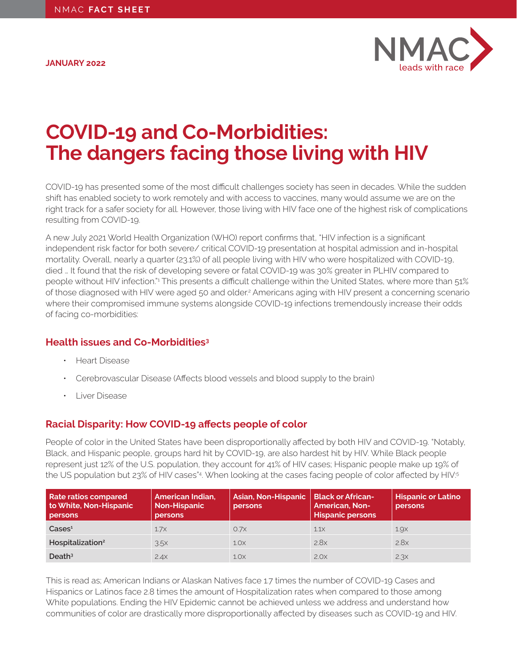<span id="page-0-0"></span>**JANUARY 2022**



# **COVID-19 and Co-Morbidities: The dangers facing those living with HIV**

COVID-19 has presented some of the most difficult challenges society has seen in decades. While the sudden shift has enabled society to work remotely and with access to vaccines, many would assume we are on the right track for a safer society for all. However, those living with HIV face one of the highest risk of complications resulting from COVID-19.

A new July 2021 World Health Organization (WHO) report confirms that, "HIV infection is a significant independent risk factor for both severe/ critical COVID-19 presentation at hospital admission and in-hospital mortality. Overall, nearly a quarter (23.1%) of all people living with HIV who were hospitalized with COVID-19, died … It found that the risk of developing severe or fatal COVID-19 was 30% greater in PLHIV compared to people without HIV infection."<sup>[1](#page-1-0)</sup> This presents a difficult challenge within the United States, where more than 51% of those diagnosed with HIV were aged 50 and older.<sup>2</sup> Americans aging with HIV present a concerning scenario where their compromised immune systems alongside COVID-19 infections tremendously increase their odds of facing co-morbidities:

## **Health issues and Co-Morbidities[3](#page-1-0)**

- Heart Disease
- Cerebrovascular Disease (Affects blood vessels and blood supply to the brain)
- Liver Disease

# **Racial Disparity: How COVID-19 affects people of color**

People of color in the United States have been disproportionally affected by both HIV and COVID-19. "Notably, Black, and Hispanic people, groups hard hit by COVID-19, are also hardest hit by HIV. While Black people represent just 12% of the U.S. population, they account for 41% of HIV cases; Hispanic people make up 19% of the US population but 23% of HIV cases"[4](#page-1-0) . When looking at the cases facing people of color affected by HIV:[5](#page-1-0)

| <b>Rate ratios compared</b><br>to White, Non-Hispanic<br>persons | American Indian,<br><b>Non-Hispanic</b><br>persons | <b>Asian, Non-Hispanic</b><br>persons | <b>Black or African-</b><br><b>American, Non-</b><br><b>Hispanic persons</b> | <b>Hispanic or Latino</b><br>persons |
|------------------------------------------------------------------|----------------------------------------------------|---------------------------------------|------------------------------------------------------------------------------|--------------------------------------|
| $\text{Case} \mathsf{s}^1$                                       | $1.7\times$                                        | 0.7x                                  | $1.1\times$                                                                  | 1.9 <sub>X</sub>                     |
| Hospitalization <sup>2</sup>                                     | 3.5x                                               | 1.0 <sub>X</sub>                      | 2.8x                                                                         | 2.8x                                 |
| Death <sup>3</sup>                                               | 2.4x                                               | 1.0 <sub>X</sub>                      | 2.0x                                                                         | 2.3x                                 |

This is read as; American Indians or Alaskan Natives face 1.7 times the number of COVID-19 Cases and Hispanics or Latinos face 2.8 times the amount of Hospitalization rates when compared to those among White populations. Ending the HIV Epidemic cannot be achieved unless we address and understand how communities of color are drastically more disproportionally affected by diseases such as COVID-19 and HIV.